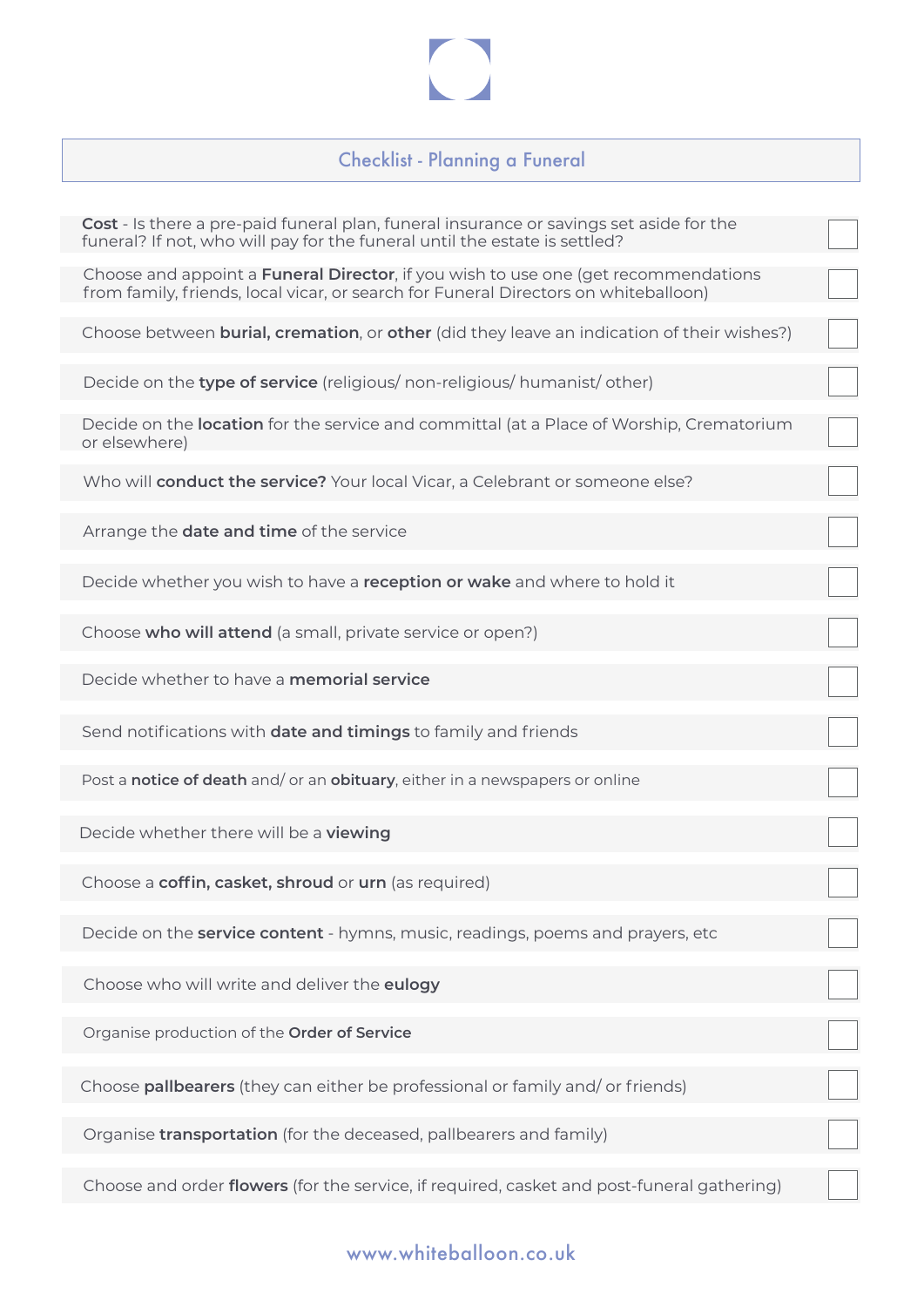## Checklist - Planning a Funeral

| <b>Cost</b> - Is there a pre-paid funeral plan, funeral insurance or savings set aside for the<br>funeral? If not, who will pay for the funeral until the estate is settled?      |  |
|-----------------------------------------------------------------------------------------------------------------------------------------------------------------------------------|--|
| Choose and appoint a <b>Funeral Director</b> , if you wish to use one (get recommendations<br>from family, friends, local vicar, or search for Funeral Directors on whiteballoon) |  |
| Choose between <b>burial, cremation</b> , or <b>other</b> (did they leave an indication of their wishes?)                                                                         |  |
| Decide on the type of service (religious/ non-religious/ humanist/ other)                                                                                                         |  |
| Decide on the location for the service and committal (at a Place of Worship, Crematorium<br>or elsewhere)                                                                         |  |
| Who will conduct the service? Your local Vicar, a Celebrant or someone else?                                                                                                      |  |
| Arrange the <b>date and time</b> of the service                                                                                                                                   |  |
| Decide whether you wish to have a reception or wake and where to hold it                                                                                                          |  |
| Choose who will attend (a small, private service or open?)                                                                                                                        |  |
| Decide whether to have a <b>memorial service</b>                                                                                                                                  |  |
| Send notifications with date and timings to family and friends                                                                                                                    |  |
| Post a notice of death and/ or an obituary, either in a newspapers or online                                                                                                      |  |
| Decide whether there will be a viewing                                                                                                                                            |  |
| Choose a coffin, casket, shroud or urn (as required)                                                                                                                              |  |
| Decide on the <b>service content</b> - hymns, music, readings, poems and prayers, etc                                                                                             |  |
| Choose who will write and deliver the eulogy                                                                                                                                      |  |
| Organise production of the Order of Service                                                                                                                                       |  |
| Choose pallbearers (they can either be professional or family and/or friends)                                                                                                     |  |
| Organise transportation (for the deceased, pallbearers and family)                                                                                                                |  |
| Choose and order flowers (for the service, if required, casket and post-funeral gathering)                                                                                        |  |